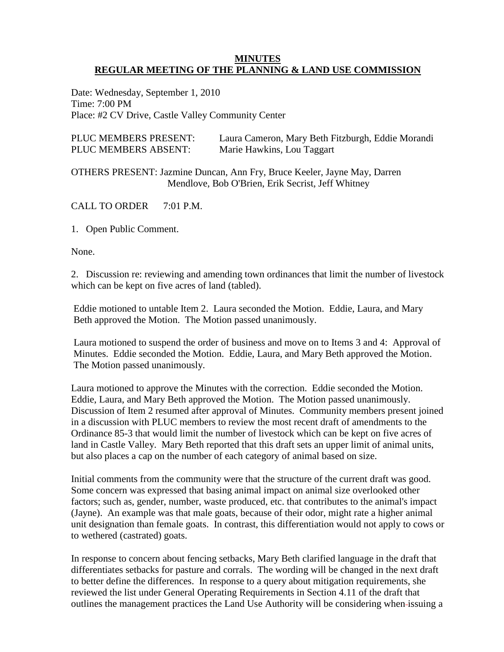#### **MINUTES REGULAR MEETING OF THE PLANNING & LAND USE COMMISSION**

Date: Wednesday, September 1, 2010 Time: 7:00 PM Place: #2 CV Drive, Castle Valley Community Center

| PLUC MEMBERS PRESENT: | Laura Cameron, Mary Beth Fitzburgh, Eddie Morandi |
|-----------------------|---------------------------------------------------|
| PLUC MEMBERS ABSENT:  | Marie Hawkins, Lou Taggart                        |

OTHERS PRESENT: Jazmine Duncan, Ann Fry, Bruce Keeler, Jayne May, Darren Mendlove, Bob O'Brien, Erik Secrist, Jeff Whitney

CALL TO ORDER 7:01 P.M.

1. Open Public Comment.

None.

2. Discussion re: reviewing and amending town ordinances that limit the number of livestock which can be kept on five acres of land (tabled).

Eddie motioned to untable Item 2. Laura seconded the Motion. Eddie, Laura, and Mary Beth approved the Motion. The Motion passed unanimously.

Laura motioned to suspend the order of business and move on to Items 3 and 4: Approval of Minutes. Eddie seconded the Motion. Eddie, Laura, and Mary Beth approved the Motion. The Motion passed unanimously.

Laura motioned to approve the Minutes with the correction. Eddie seconded the Motion. Eddie, Laura, and Mary Beth approved the Motion. The Motion passed unanimously. Discussion of Item 2 resumed after approval of Minutes. Community members present joined in a discussion with PLUC members to review the most recent draft of amendments to the Ordinance 85-3 that would limit the number of livestock which can be kept on five acres of land in Castle Valley. Mary Beth reported that this draft sets an upper limit of animal units, but also places a cap on the number of each category of animal based on size.

Initial comments from the community were that the structure of the current draft was good. Some concern was expressed that basing animal impact on animal size overlooked other factors; such as, gender, number, waste produced, etc. that contributes to the animal's impact (Jayne). An example was that male goats, because of their odor, might rate a higher animal unit designation than female goats. In contrast, this differentiation would not apply to cows or to wethered (castrated) goats.

In response to concern about fencing setbacks, Mary Beth clarified language in the draft that differentiates setbacks for pasture and corrals. The wording will be changed in the next draft to better define the differences. In response to a query about mitigation requirements, she reviewed the list under General Operating Requirements in Section 4.11 of the draft that outlines the management practices the Land Use Authority will be considering when issuing a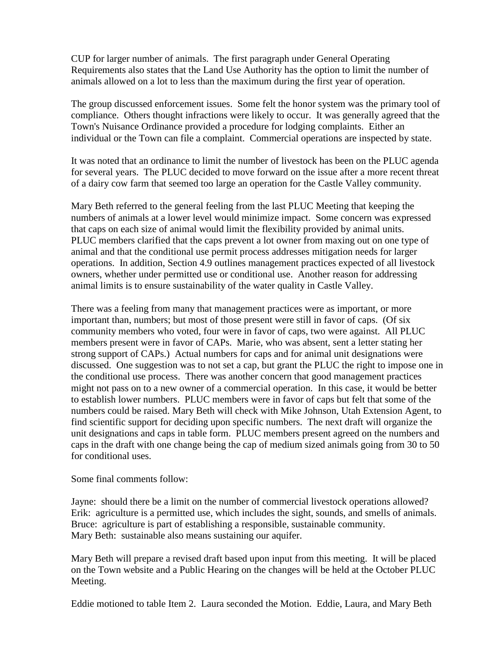CUP for larger number of animals. The first paragraph under General Operating Requirements also states that the Land Use Authority has the option to limit the number of animals allowed on a lot to less than the maximum during the first year of operation.

The group discussed enforcement issues. Some felt the honor system was the primary tool of compliance. Others thought infractions were likely to occur. It was generally agreed that the Town's Nuisance Ordinance provided a procedure for lodging complaints. Either an individual or the Town can file a complaint. Commercial operations are inspected by state.

It was noted that an ordinance to limit the number of livestock has been on the PLUC agenda for several years. The PLUC decided to move forward on the issue after a more recent threat of a dairy cow farm that seemed too large an operation for the Castle Valley community.

Mary Beth referred to the general feeling from the last PLUC Meeting that keeping the numbers of animals at a lower level would minimize impact. Some concern was expressed that caps on each size of animal would limit the flexibility provided by animal units. PLUC members clarified that the caps prevent a lot owner from maxing out on one type of animal and that the conditional use permit process addresses mitigation needs for larger operations. In addition, Section 4.9 outlines management practices expected of all livestock owners, whether under permitted use or conditional use. Another reason for addressing animal limits is to ensure sustainability of the water quality in Castle Valley.

There was a feeling from many that management practices were as important, or more important than, numbers; but most of those present were still in favor of caps. (Of six community members who voted, four were in favor of caps, two were against. All PLUC members present were in favor of CAPs. Marie, who was absent, sent a letter stating her strong support of CAPs.) Actual numbers for caps and for animal unit designations were discussed. One suggestion was to not set a cap, but grant the PLUC the right to impose one in the conditional use process. There was another concern that good management practices might not pass on to a new owner of a commercial operation. In this case, it would be better to establish lower numbers. PLUC members were in favor of caps but felt that some of the numbers could be raised. Mary Beth will check with Mike Johnson, Utah Extension Agent, to find scientific support for deciding upon specific numbers. The next draft will organize the unit designations and caps in table form. PLUC members present agreed on the numbers and caps in the draft with one change being the cap of medium sized animals going from 30 to 50 for conditional uses.

Some final comments follow:

Jayne: should there be a limit on the number of commercial livestock operations allowed? Erik: agriculture is a permitted use, which includes the sight, sounds, and smells of animals. Bruce: agriculture is part of establishing a responsible, sustainable community. Mary Beth: sustainable also means sustaining our aquifer.

Mary Beth will prepare a revised draft based upon input from this meeting. It will be placed on the Town website and a Public Hearing on the changes will be held at the October PLUC Meeting.

Eddie motioned to table Item 2. Laura seconded the Motion. Eddie, Laura, and Mary Beth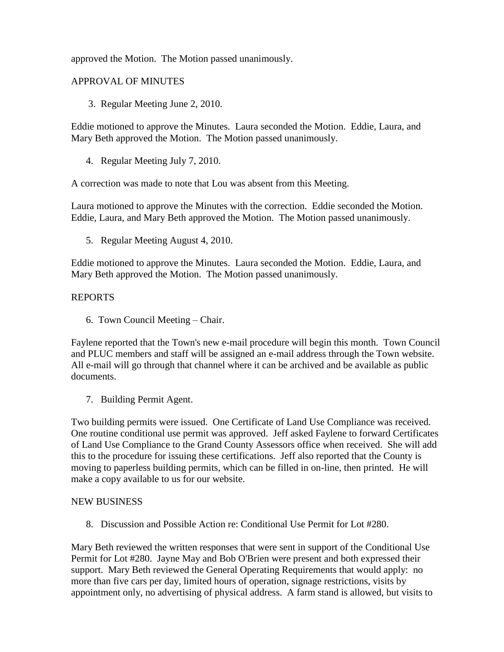approved the Motion. The Motion passed unanimously.

# APPROVAL OF MINUTES

3. Regular Meeting June 2, 2010.

Eddie motioned to approve the Minutes. Laura seconded the Motion. Eddie, Laura, and Mary Beth approved the Motion. The Motion passed unanimously.

4. Regular Meeting July 7, 2010.

A correction was made to note that Lou was absent from this Meeting.

Laura motioned to approve the Minutes with the correction. Eddie seconded the Motion. Eddie, Laura, and Mary Beth approved the Motion. The Motion passed unanimously.

5. Regular Meeting August 4, 2010.

Eddie motioned to approve the Minutes. Laura seconded the Motion. Eddie, Laura, and Mary Beth approved the Motion. The Motion passed unanimously.

### REPORTS

6. Town Council Meeting – Chair.

Faylene reported that the Town's new e-mail procedure will begin this month. Town Council and PLUC members and staff will be assigned an e-mail address through the Town website. All e-mail will go through that channel where it can be archived and be available as public documents.

7. Building Permit Agent.

Two building permits were issued. One Certificate of Land Use Compliance was received. One routine conditional use permit was approved. Jeff asked Faylene to forward Certificates of Land Use Compliance to the Grand County Assessors office when received. She will add this to the procedure for issuing these certifications. Jeff also reported that the County is moving to paperless building permits, which can be filled in on-line, then printed. He will make a copy available to us for our website.

### NEW BUSINESS

8. Discussion and Possible Action re: Conditional Use Permit for Lot #280.

Mary Beth reviewed the written responses that were sent in support of the Conditional Use Permit for Lot #280. Jayne May and Bob O'Brien were present and both expressed their support. Mary Beth reviewed the General Operating Requirements that would apply: no more than five cars per day, limited hours of operation, signage restrictions, visits by appointment only, no advertising of physical address. A farm stand is allowed, but visits to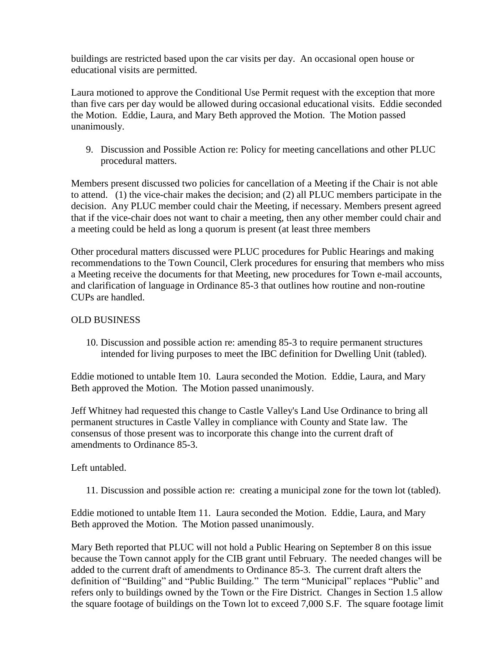buildings are restricted based upon the car visits per day. An occasional open house or educational visits are permitted.

Laura motioned to approve the Conditional Use Permit request with the exception that more than five cars per day would be allowed during occasional educational visits. Eddie seconded the Motion. Eddie, Laura, and Mary Beth approved the Motion. The Motion passed unanimously.

9. Discussion and Possible Action re: Policy for meeting cancellations and other PLUC procedural matters.

Members present discussed two policies for cancellation of a Meeting if the Chair is not able to attend. (1) the vice-chair makes the decision; and (2) all PLUC members participate in the decision. Any PLUC member could chair the Meeting, if necessary. Members present agreed that if the vice-chair does not want to chair a meeting, then any other member could chair and a meeting could be held as long a quorum is present (at least three members

Other procedural matters discussed were PLUC procedures for Public Hearings and making recommendations to the Town Council, Clerk procedures for ensuring that members who miss a Meeting receive the documents for that Meeting, new procedures for Town e-mail accounts, and clarification of language in Ordinance 85-3 that outlines how routine and non-routine CUPs are handled.

## OLD BUSINESS

10. Discussion and possible action re: amending 85-3 to require permanent structures intended for living purposes to meet the IBC definition for Dwelling Unit (tabled).

Eddie motioned to untable Item 10. Laura seconded the Motion. Eddie, Laura, and Mary Beth approved the Motion. The Motion passed unanimously.

Jeff Whitney had requested this change to Castle Valley's Land Use Ordinance to bring all permanent structures in Castle Valley in compliance with County and State law. The consensus of those present was to incorporate this change into the current draft of amendments to Ordinance 85-3.

### Left untabled.

11. Discussion and possible action re: creating a municipal zone for the town lot (tabled).

Eddie motioned to untable Item 11. Laura seconded the Motion. Eddie, Laura, and Mary Beth approved the Motion. The Motion passed unanimously.

Mary Beth reported that PLUC will not hold a Public Hearing on September 8 on this issue because the Town cannot apply for the CIB grant until February. The needed changes will be added to the current draft of amendments to Ordinance 85-3. The current draft alters the definition of "Building" and "Public Building." The term "Municipal" replaces "Public" and refers only to buildings owned by the Town or the Fire District. Changes in Section 1.5 allow the square footage of buildings on the Town lot to exceed 7,000 S.F. The square footage limit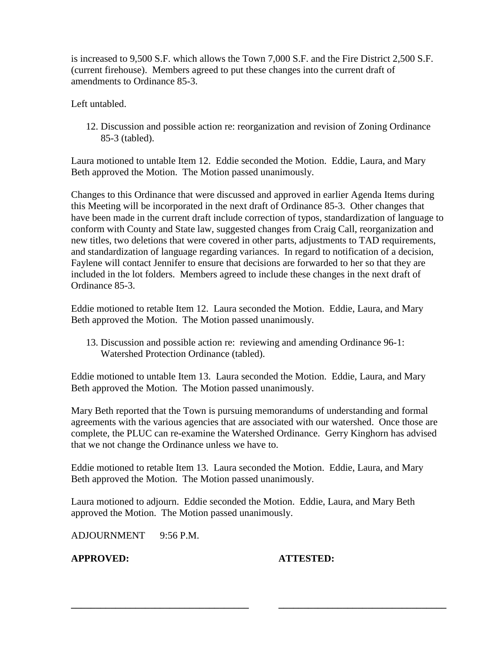is increased to 9,500 S.F. which allows the Town 7,000 S.F. and the Fire District 2,500 S.F. (current firehouse). Members agreed to put these changes into the current draft of amendments to Ordinance 85-3.

Left untabled.

12. Discussion and possible action re: reorganization and revision of Zoning Ordinance 85-3 (tabled).

Laura motioned to untable Item 12. Eddie seconded the Motion. Eddie, Laura, and Mary Beth approved the Motion. The Motion passed unanimously.

Changes to this Ordinance that were discussed and approved in earlier Agenda Items during this Meeting will be incorporated in the next draft of Ordinance 85-3. Other changes that have been made in the current draft include correction of typos, standardization of language to conform with County and State law, suggested changes from Craig Call, reorganization and new titles, two deletions that were covered in other parts, adjustments to TAD requirements, and standardization of language regarding variances. In regard to notification of a decision, Faylene will contact Jennifer to ensure that decisions are forwarded to her so that they are included in the lot folders. Members agreed to include these changes in the next draft of Ordinance 85-3.

Eddie motioned to retable Item 12. Laura seconded the Motion. Eddie, Laura, and Mary Beth approved the Motion. The Motion passed unanimously.

13. Discussion and possible action re: reviewing and amending Ordinance 96-1: Watershed Protection Ordinance (tabled).

Eddie motioned to untable Item 13. Laura seconded the Motion. Eddie, Laura, and Mary Beth approved the Motion. The Motion passed unanimously.

Mary Beth reported that the Town is pursuing memorandums of understanding and formal agreements with the various agencies that are associated with our watershed. Once those are complete, the PLUC can re-examine the Watershed Ordinance. Gerry Kinghorn has advised that we not change the Ordinance unless we have to.

Eddie motioned to retable Item 13. Laura seconded the Motion. Eddie, Laura, and Mary Beth approved the Motion. The Motion passed unanimously.

Laura motioned to adjourn. Eddie seconded the Motion. Eddie, Laura, and Mary Beth approved the Motion. The Motion passed unanimously.

**\_\_\_\_\_\_\_\_\_\_\_\_\_\_\_\_\_\_\_\_\_\_\_\_\_\_\_\_\_\_\_\_\_\_\_\_ \_\_\_\_\_\_\_\_\_\_\_\_\_\_\_\_\_\_\_\_\_\_\_\_\_\_\_\_\_\_\_\_\_\_**

ADJOURNMENT 9:56 P.M.

**APPROVED: ATTESTED:**